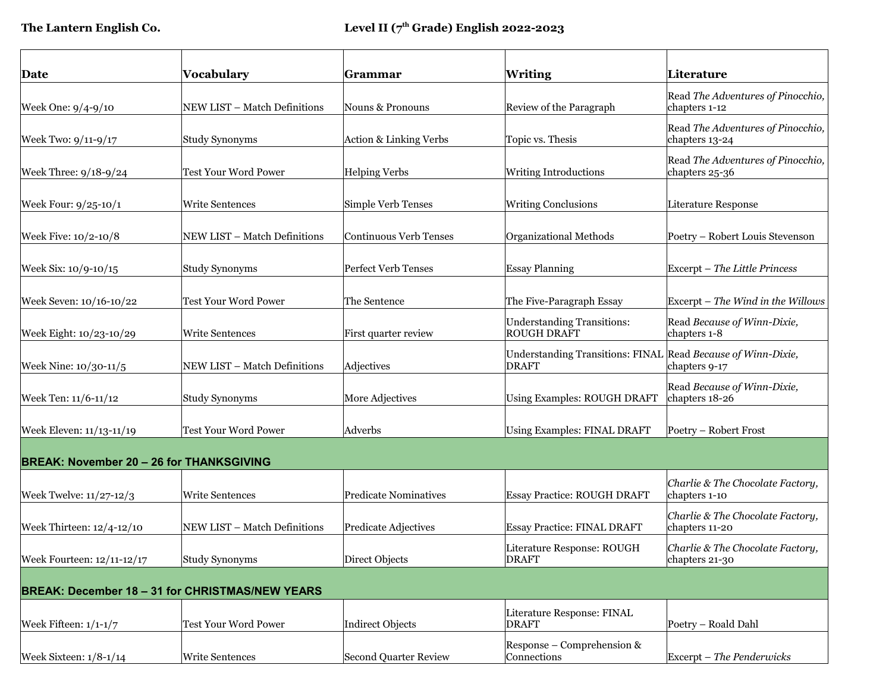|                                                 |                                                        |                              |                                                                              | Literature                                          |
|-------------------------------------------------|--------------------------------------------------------|------------------------------|------------------------------------------------------------------------------|-----------------------------------------------------|
| Date                                            | Vocabulary                                             | Grammar                      | <b>Writing</b>                                                               |                                                     |
| Week One: 9/4-9/10                              | NEW LIST - Match Definitions                           | Nouns & Pronouns             | Review of the Paragraph                                                      | Read The Adventures of Pinocchio,<br>chapters 1-12  |
| Week Two: 9/11-9/17                             | <b>Study Synonyms</b>                                  | Action & Linking Verbs       | Topic vs. Thesis                                                             | Read The Adventures of Pinocchio,<br>chapters 13-24 |
| Week Three: 9/18-9/24                           | <b>Test Your Word Power</b>                            | <b>Helping Verbs</b>         | <b>Writing Introductions</b>                                                 | Read The Adventures of Pinocchio,<br>chapters 25-36 |
| Week Four: 9/25-10/1                            | <b>Write Sentences</b>                                 | Simple Verb Tenses           | <b>Writing Conclusions</b>                                                   | Literature Response                                 |
| Week Five: 10/2-10/8                            | NEW LIST - Match Definitions                           | Continuous Verb Tenses       | Organizational Methods                                                       | Poetry – Robert Louis Stevenson                     |
| Week Six: 10/9-10/15                            | <b>Study Synonyms</b>                                  | <b>Perfect Verb Tenses</b>   | <b>Essay Planning</b>                                                        | Excerpt - The Little Princess                       |
| Week Seven: 10/16-10/22                         | <b>Test Your Word Power</b>                            | The Sentence                 | The Five-Paragraph Essay                                                     | Excerpt – The Wind in the Willows                   |
| Week Eight: 10/23-10/29                         | <b>Write Sentences</b>                                 | First quarter review         | <b>Understanding Transitions:</b><br><b>ROUGH DRAFT</b>                      | Read Because of Winn-Dixie,<br>chapters 1-8         |
| Week Nine: 10/30-11/5                           | NEW LIST - Match Definitions                           | Adjectives                   | Understanding Transitions: FINAL Read Because of Winn-Dixie,<br><b>DRAFT</b> | chapters 9-17                                       |
| Week Ten: 11/6-11/12                            | <b>Study Synonyms</b>                                  | More Adjectives              | <b>Using Examples: ROUGH DRAFT</b>                                           | Read Because of Winn-Dixie,<br>chapters 18-26       |
| Week Eleven: 11/13-11/19                        | <b>Test Your Word Power</b>                            | Adverbs                      | <b>Using Examples: FINAL DRAFT</b>                                           | Poetry - Robert Frost                               |
| <b>BREAK: November 20 - 26 for THANKSGIVING</b> |                                                        |                              |                                                                              |                                                     |
| Week Twelve: 11/27-12/3                         | <b>Write Sentences</b>                                 | <b>Predicate Nominatives</b> | <b>Essay Practice: ROUGH DRAFT</b>                                           | Charlie & The Chocolate Factory,<br>chapters 1-10   |
| Week Thirteen: 12/4-12/10                       | NEW LIST - Match Definitions                           | Predicate Adjectives         | <b>Essay Practice: FINAL DRAFT</b>                                           | Charlie & The Chocolate Factory,<br>chapters 11-20  |
| Week Fourteen: 12/11-12/17                      | Study Synonyms                                         | Direct Objects               | Literature Response: ROUGH<br><b>DRAFT</b>                                   | Charlie & The Chocolate Factory,<br>chapters 21-30  |
|                                                 | <b>BREAK: December 18 - 31 for CHRISTMAS/NEW YEARS</b> |                              |                                                                              |                                                     |
| Week Fifteen: 1/1-1/7                           | Test Your Word Power                                   | Indirect Objects             | Literature Response: FINAL<br><b>DRAFT</b>                                   | Poetry - Roald Dahl                                 |
| Week Sixteen: 1/8-1/14                          | Write Sentences                                        | Second Quarter Review        | Response – Comprehension &<br>Connections                                    | Excerpt - The Penderwicks                           |